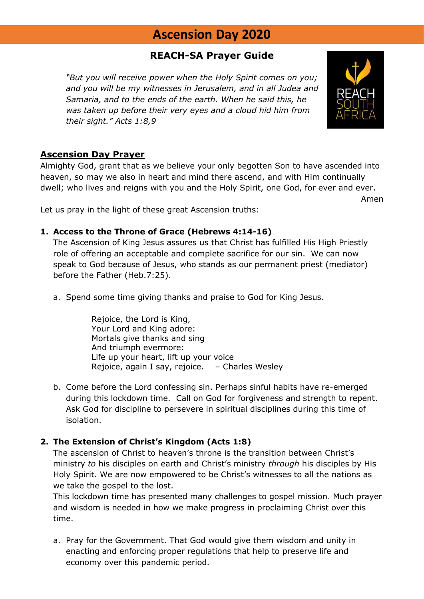# **Ascension Day 2020**

## **REACH-SA Prayer Guide**

*"But you will receive power when the Holy Spirit comes on you; and you will be my witnesses in Jerusalem, and in all Judea and Samaria, and to the ends of the earth. When he said this, he was taken up before their very eyes and a cloud hid him from their sight." Acts 1:8,9*



Almighty God, grant that as we believe your only begotten Son to have ascended into heaven, so may we also in heart and mind there ascend, and with Him continually dwell; who lives and reigns with you and the Holy Spirit, one God, for ever and ever.

Let us pray in the light of these great Ascension truths:

#### **1. Access to the Throne of Grace (Hebrews 4:14-16)**

The Ascension of King Jesus assures us that Christ has fulfilled His High Priestly role of offering an acceptable and complete sacrifice for our sin. We can now speak to God because of Jesus, who stands as our permanent priest (mediator) before the Father (Heb.7:25).

a. Spend some time giving thanks and praise to God for King Jesus.

Rejoice, the Lord is King, Your Lord and King adore: Mortals give thanks and sing And triumph evermore: Life up your heart, lift up your voice Rejoice, again I say, rejoice. – Charles Wesley

b. Come before the Lord confessing sin. Perhaps sinful habits have re-emerged during this lockdown time. Call on God for forgiveness and strength to repent. Ask God for discipline to persevere in spiritual disciplines during this time of isolation.

### **2. The Extension of Christ's Kingdom (Acts 1:8)**

The ascension of Christ to heaven's throne is the transition between Christ's ministry *to* his disciples on earth and Christ's ministry *through* his disciples by His Holy Spirit. We are now empowered to be Christ's witnesses to all the nations as we take the gospel to the lost.

This lockdown time has presented many challenges to gospel mission. Much prayer and wisdom is needed in how we make progress in proclaiming Christ over this time.

a. Pray for the Government. That God would give them wisdom and unity in enacting and enforcing proper regulations that help to preserve life and economy over this pandemic period.



Amen